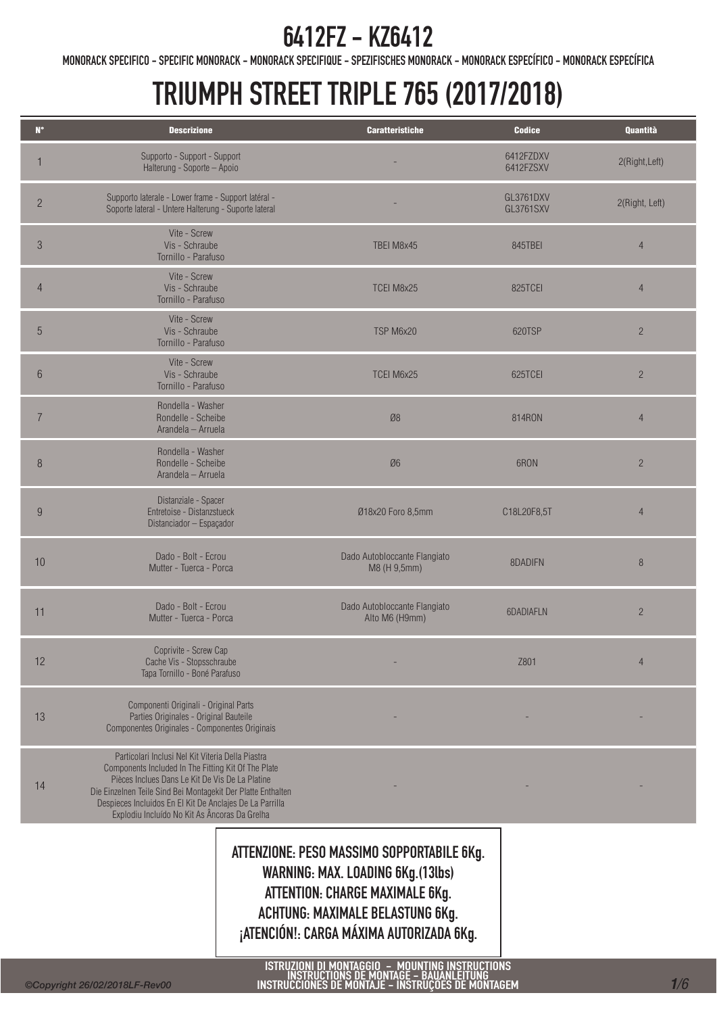MONORACK SPECIFICO - SPECIFIC MONORACK - MONORACK SPECIFIQUE - SPEZIFISCHES MONORACK - MONORACK ESPECÍFICO - MONORACK ESPECÍFICA

## TRIUMPH STREET TRIPLE 765 (2017/2018)

| $\mathbf{N}^{\bullet}$ | <b>Descrizione</b>                                                                                                                                                                                                                                                                                                                       | <b>Caratteristiche</b>                         | <b>Codice</b>                 | Quantità       |
|------------------------|------------------------------------------------------------------------------------------------------------------------------------------------------------------------------------------------------------------------------------------------------------------------------------------------------------------------------------------|------------------------------------------------|-------------------------------|----------------|
|                        | Supporto - Support - Support<br>Halterung - Soporte - Apoio                                                                                                                                                                                                                                                                              |                                                | 6412FZDXV<br>6412FZSXV        | 2(Right, Left) |
| $\overline{c}$         | Supporto laterale - Lower frame - Support latéral -<br>Soporte lateral - Untere Halterung - Suporte lateral                                                                                                                                                                                                                              |                                                | GL3761DXV<br><b>GL3761SXV</b> | 2(Right, Left) |
| $\mathfrak{S}$         | Vite - Screw<br>Vis - Schraube<br>Tornillo - Parafuso                                                                                                                                                                                                                                                                                    | TBEI M8x45                                     | 845TBEI                       | $\overline{4}$ |
| $\overline{4}$         | Vite - Screw<br>Vis - Schraube<br>Tornillo - Parafuso                                                                                                                                                                                                                                                                                    | TCEI M8x25                                     | 825TCEI                       | $\overline{4}$ |
| 5                      | Vite - Screw<br>Vis - Schraube<br>Tornillo - Parafuso                                                                                                                                                                                                                                                                                    | TSP M6x20                                      | 620TSP                        | $\overline{c}$ |
| $6\,$                  | Vite - Screw<br>Vis - Schraube<br>Tornillo - Parafuso                                                                                                                                                                                                                                                                                    | TCEI M6x25                                     | 625TCEI                       | $\overline{c}$ |
| $\overline{7}$         | Rondella - Washer<br>Rondelle - Scheibe<br>Arandela - Arruela                                                                                                                                                                                                                                                                            | Ø8                                             | 814RON                        | $\overline{4}$ |
| 8                      | Rondella - Washer<br>Rondelle - Scheibe<br>Arandela - Arruela                                                                                                                                                                                                                                                                            | Ø6                                             | 6RON                          | $\overline{2}$ |
| $9\phantom{.}$         | Distanziale - Spacer<br>Entretoise - Distanzstueck<br>Distanciador - Espaçador                                                                                                                                                                                                                                                           | Ø18x20 Foro 8,5mm                              | C18L20F8,5T                   | $\overline{4}$ |
| 10                     | Dado - Bolt - Ecrou<br>Mutter - Tuerca - Porca                                                                                                                                                                                                                                                                                           | Dado Autobloccante Flangiato<br>M8 (H 9,5mm)   | 8DADIFN                       | 8              |
| 11                     | Dado - Bolt - Ecrou<br>Mutter - Tuerca - Porca                                                                                                                                                                                                                                                                                           | Dado Autobloccante Flangiato<br>Alto M6 (H9mm) | 6DADIAFLN                     | $\overline{c}$ |
| 12                     | Coprivite - Screw Cap<br>Cache Vis - Stopsschraube<br>Tapa Tornillo - Boné Parafuso                                                                                                                                                                                                                                                      |                                                | Z801                          | $\overline{4}$ |
| 13                     | Componenti Originali - Original Parts<br>Parties Originales - Original Bauteile<br>Componentes Originales - Componentes Originais                                                                                                                                                                                                        |                                                |                               |                |
| 14                     | Particolari Inclusi Nel Kit Viteria Della Piastra<br>Components Included In The Fitting Kit Of The Plate<br>Pièces Inclues Dans Le Kit De Vis De La Platine<br>Die Einzelnen Teile Sind Bei Montagekit Der Platte Enthalten<br>Despieces Incluidos En El Kit De Anclajes De La Parrilla<br>Explodiu Incluído No Kit As Âncoras Da Grelha |                                                |                               |                |
|                        |                                                                                                                                                                                                                                                                                                                                          |                                                |                               |                |

ATTENZIONE: PESO MASSIMO SOPPORTABILE 6Kg. WARNING: MAX. LOADING 6Kg.(13lbs) ATTENTION: CHARGE MAXIMALE 6Kg. ACHTUNG: MAXIMALE BELASTUNG 6Kg. ¡ATENCIÓN!: CARGA MÁXIMA AUTORIZADA 6Kg.

ISTRUZIONI DI MONTAGGIO – MOUNTING INSTRUCTIONS<br>INSTRUCTIONS DE MONTAGE – BAUANLEITUNG<br>INSTRUCCIONES DE MONTAJE – INSTRUÇÕES DE MONTAGEM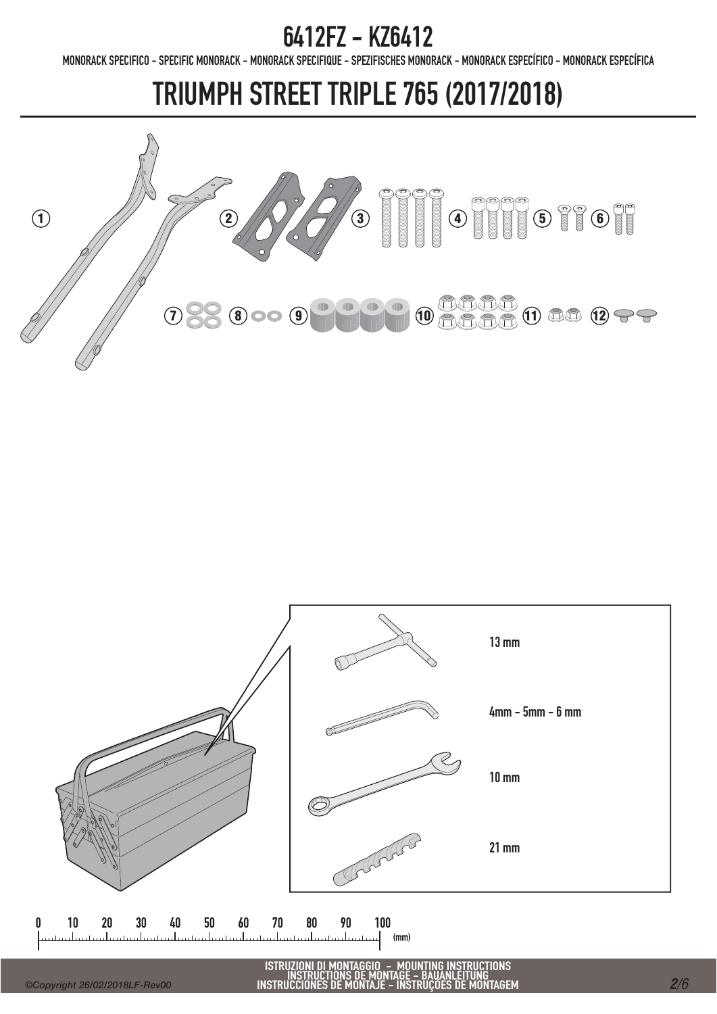MONORACK SPECIFICO - SPECIFIC MONORACK - MONORACK SPECIFIQUE - SPEZIFISCHES MONORACK - MONORACK ESPECÍFICO - MONORACK ESPECÍFICA

## TRIUMPH STREET TRIPLE 765 (2017/2018)





ISTRUZIONI DI MONTAGGIO - MOUNTING INSTRUCTIONS INSTRUCTIONS DE MONTAGE - BAUANLEITUNG INSTRUCCIONES DE MONTAJE - INSTRUÇÕES DE MONTAGEM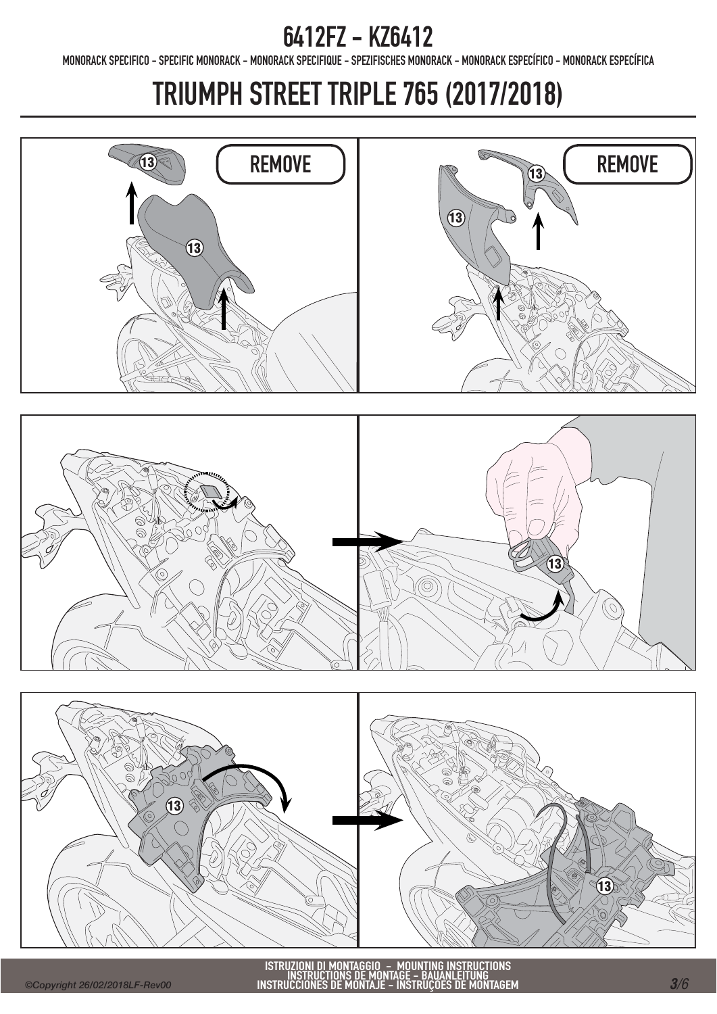MONORACK SPECIFICO - SPECIFIC MONORACK - MONORACK SPECIFIQUE - SPEZIFISCHES MONORACK - MONORACK ESPECÍFICO - MONORACK ESPECÍFICA

# TRIUMPH STREET TRIPLE 765 (2017/2018)

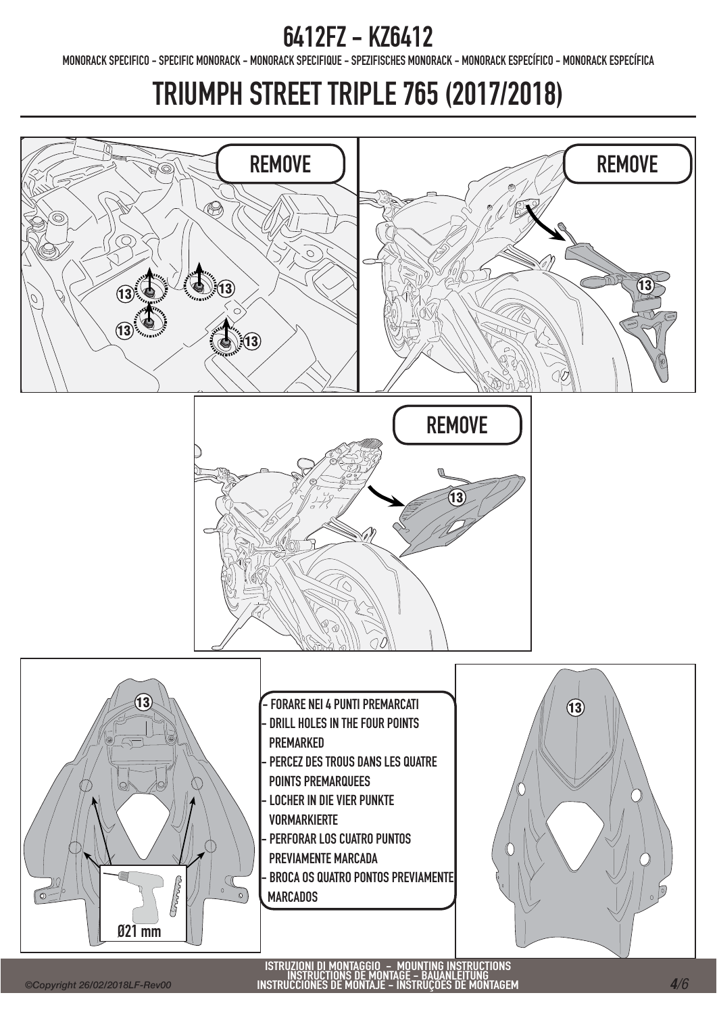MONORACK SPECIFICO - SPECIFIC MONORACK - MONORACK SPECIFIQUE - SPEZIFISCHES MONORACK - MONORACK ESPECÍFICO - MONORACK ESPECÍFICA

# TRIUMPH STREET TRIPLE 765 (2017/2018)





FORARE NEI 4 PUNTI PREMARCATI DRILL HOLES IN THE FOUR POINTS PREMARKED PERCEZ DES TROUS DANS LES QUATRE POINTS PREMARQUEES - LOCHER IN DIE VIER PUNKTE VORMARKIERTE PERFORAR LOS CUATRO PUNTOS PREVIAMENTE MARCADA - BROCA OS QUATRO PONTOS PREVIAMENTE **MARCADOS** 

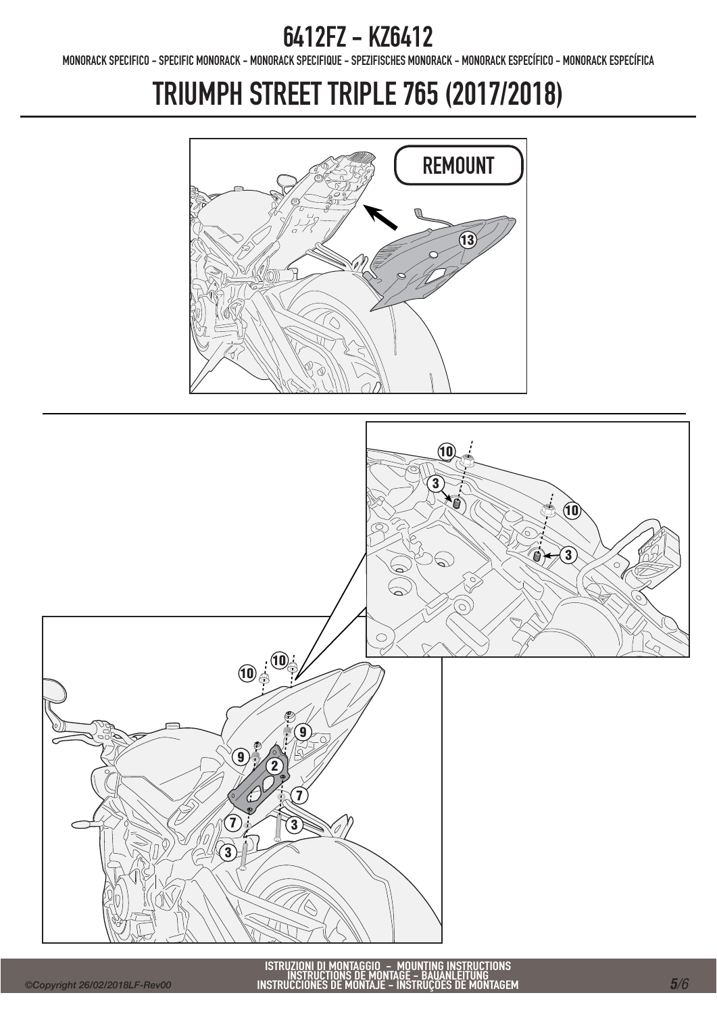MONORACK SPECIFICO - SPECIFIC MONORACK - MONORACK SPECIFIQUE - SPEZIFISCHES MONORACK - MONORACK ESPECÍFICO - MONORACK ESPECÍFICA

# TRIUMPH STREET TRIPLE 765 (2017/2018)